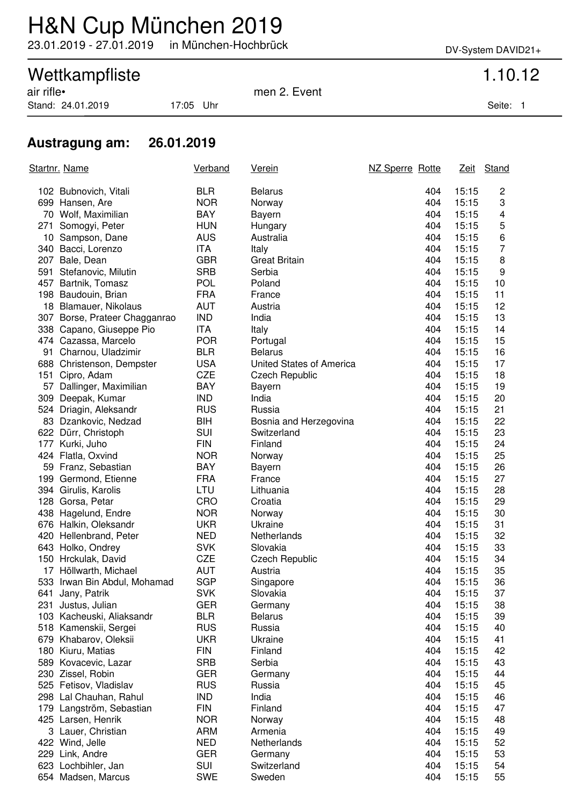## H&N Cup München 2019

23.01.2019 - 27.01.2019 in München-Hochbrück DV-System DAVID21+

# Wettkampfliste 1.10.12<br>
air rifle• 1.10.12

Stand: 24.01.2019 17:05 Uhr Seite: 1

men 2. Event

### **Austragung am: 26.01.2019**

| Startnr. Name |                               | Verband    | <u>Verein</u>            | NZ Sperre Rotte |       | Zeit Stand |
|---------------|-------------------------------|------------|--------------------------|-----------------|-------|------------|
|               | 102 Bubnovich, Vitali         | <b>BLR</b> | <b>Belarus</b>           | 404             | 15:15 | 2          |
|               | 699 Hansen, Are               | <b>NOR</b> | Norway                   | 404             | 15:15 | 3          |
|               | 70 Wolf, Maximilian           | <b>BAY</b> | Bayern                   | 404             | 15:15 | 4          |
|               | 271 Somogyi, Peter            | <b>HUN</b> | Hungary                  | 404             | 15:15 | 5          |
|               | 10 Sampson, Dane              | <b>AUS</b> | Australia                | 404             | 15:15 | 6          |
|               | 340 Bacci, Lorenzo            | <b>ITA</b> | Italy                    | 404             | 15:15 | 7          |
| 207           | Bale, Dean                    | <b>GBR</b> | <b>Great Britain</b>     | 404             | 15:15 | 8          |
|               | 591 Stefanovic, Milutin       | <b>SRB</b> | Serbia                   | 404             | 15:15 | 9          |
| 457           | Bartnik, Tomasz               | <b>POL</b> | Poland                   | 404             | 15:15 | 10         |
|               | 198 Baudouin, Brian           | <b>FRA</b> | France                   | 404             | 15:15 | 11         |
|               | 18 Blamauer, Nikolaus         | <b>AUT</b> | Austria                  | 404             | 15:15 | 12         |
|               | 307 Borse, Prateer Chagganrao | <b>IND</b> | India                    | 404             | 15:15 | 13         |
|               | 338 Capano, Giuseppe Pio      | <b>ITA</b> | Italy                    | 404             | 15:15 | 14         |
|               | 474 Cazassa, Marcelo          | <b>POR</b> | Portugal                 | 404             | 15:15 | 15         |
|               | 91 Charnou, Uladzimir         | <b>BLR</b> | <b>Belarus</b>           | 404             | 15:15 | 16         |
|               | 688 Christenson, Dempster     | <b>USA</b> | United States of America | 404             | 15:15 | 17         |
|               | 151 Cipro, Adam               | <b>CZE</b> | <b>Czech Republic</b>    | 404             | 15:15 | 18         |
|               | 57 Dallinger, Maximilian      | <b>BAY</b> | Bayern                   | 404             | 15:15 | 19         |
|               | 309 Deepak, Kumar             | <b>IND</b> | India                    | 404             | 15:15 | 20         |
|               | 524 Driagin, Aleksandr        | <b>RUS</b> | Russia                   | 404             | 15:15 | 21         |
|               | 83 Dzankovic, Nedzad          | <b>BIH</b> | Bosnia and Herzegovina   | 404             | 15:15 | 22         |
|               | 622 Dürr, Christoph           | SUI        | Switzerland              | 404             | 15:15 | 23         |
|               | 177 Kurki, Juho               | <b>FIN</b> | Finland                  | 404             | 15:15 | 24         |
|               | 424 Flatla, Oxvind            | <b>NOR</b> | Norway                   | 404             | 15:15 | 25         |
|               | 59 Franz, Sebastian           | <b>BAY</b> | <b>Bayern</b>            | 404             | 15:15 | 26         |
|               | 199 Germond, Etienne          | <b>FRA</b> | France                   | 404             | 15:15 | 27         |
|               | 394 Girulis, Karolis          | LTU        | Lithuania                | 404             | 15:15 | 28         |
|               | 128 Gorsa, Petar              | <b>CRO</b> | Croatia                  | 404             | 15:15 | 29         |
|               | 438 Hagelund, Endre           | <b>NOR</b> | Norway                   | 404             | 15:15 | 30         |
|               | 676 Halkin, Oleksandr         | <b>UKR</b> | Ukraine                  | 404             | 15:15 | 31         |
|               | 420 Hellenbrand, Peter        | <b>NED</b> | Netherlands              | 404             | 15:15 | 32         |
|               | 643 Holko, Ondrey             | <b>SVK</b> | Slovakia                 | 404             | 15:15 | 33         |
|               | 150 Hrckulak, David           | <b>CZE</b> | <b>Czech Republic</b>    | 404             | 15:15 | 34         |
|               | 17 Höllwarth, Michael         | <b>AUT</b> | Austria                  | 404             | 15:15 | 35         |
|               | 533 Irwan Bin Abdul, Mohamad  | <b>SGP</b> | Singapore                | 404             | 15:15 | 36         |
|               | 641 Jany, Patrik              | SVK        | Slovakia                 | 404             | 15:15 | 37         |
| 231           | Justus, Julian                | <b>GER</b> | Germany                  | 404             | 15:15 | 38         |
|               | 103 Kacheuski, Aliaksandr     | <b>BLR</b> | <b>Belarus</b>           | 404             | 15:15 | 39         |
|               | 518 Kamenskii, Sergei         | <b>RUS</b> | Russia                   | 404             | 15:15 | 40         |
|               | 679 Khabarov, Oleksii         | <b>UKR</b> | Ukraine                  | 404             | 15:15 | 41         |
|               | 180 Kiuru, Matias             | <b>FIN</b> | Finland                  | 404             | 15:15 | 42         |
|               | 589 Kovacevic, Lazar          | <b>SRB</b> | Serbia                   | 404             | 15:15 | 43         |
|               | 230 Zissel, Robin             | <b>GER</b> | Germany                  | 404             | 15:15 | 44         |
|               | 525 Fetisov, Vladislav        | <b>RUS</b> | Russia                   | 404             | 15:15 | 45         |
|               | 298 Lal Chauhan, Rahul        | <b>IND</b> | India                    | 404             | 15:15 | 46         |
|               | 179 Langström, Sebastian      | <b>FIN</b> | Finland                  | 404             | 15:15 | 47         |
|               | 425 Larsen, Henrik            | <b>NOR</b> | Norway                   | 404             | 15:15 | 48         |
|               | 3 Lauer, Christian            | <b>ARM</b> | Armenia                  | 404             | 15:15 | 49         |
|               | 422 Wind, Jelle               | <b>NED</b> | Netherlands              | 404             | 15:15 | 52         |
|               | 229 Link, Andre               | <b>GER</b> | Germany                  | 404             | 15:15 | 53         |
|               | 623 Lochbihler, Jan           | SUI        | Switzerland              | 404             | 15:15 | 54         |
|               | 654 Madsen, Marcus            | <b>SWE</b> | Sweden                   | 404             | 15:15 | 55         |